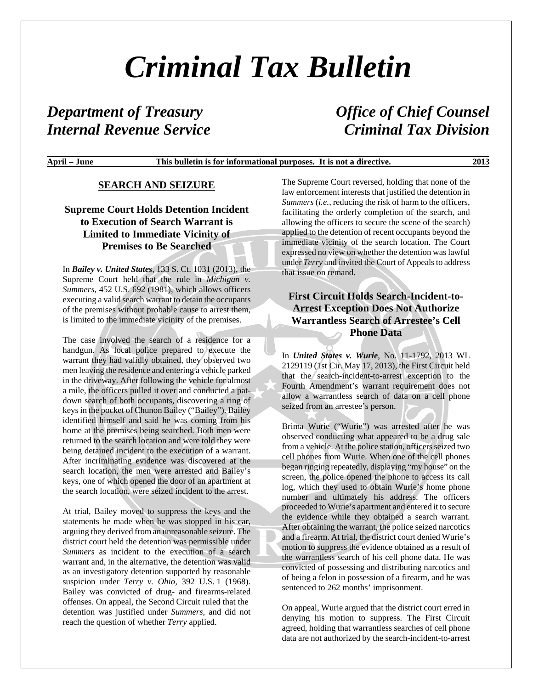# *Criminal Tax Bulletin*

## *Department of Treasury Office of Chief Counsel Internal Revenue Service Criminal Tax Division*

#### **April – June This bulletin is for informational purposes. It is not a directive. 2013**

#### **SEARCH AND SEIZURE**

### **Supreme Court Holds Detention Incident to Execution of Search Warrant is Limited to Immediate Vicinity of Premises to Be Searched**

In *Bailey v. United States*, 133 S. Ct. 1031 (2013), the Supreme Court held that the rule in *Michigan v. Summers,* 452 U.S. 692 (1981), which allows officers executing a valid search warrant to detain the occupants of the premises without probable cause to arrest them, is limited to the immediate vicinity of the premises.

The case involved the search of a residence for a handgun. As local police prepared to execute the warrant they had validly obtained, they observed two men leaving the residence and entering a vehicle parked in the driveway. After following the vehicle for almost a mile, the officers pulled it over and conducted a patdown search of both occupants, discovering a ring of keys in the pocket of Chunon Bailey ("Bailey"). Bailey identified himself and said he was coming from his home at the premises being searched. Both men were returned to the search location and were told they were being detained incident to the execution of a warrant. After incriminating evidence was discovered at the search location, the men were arrested and Bailey's keys, one of which opened the door of an apartment at the search location, were seized incident to the arrest.

At trial, Bailey moved to suppress the keys and the statements he made when he was stopped in his car, arguing they derived from an unreasonable seizure. The district court held the detention was permissible under *Summers* as incident to the execution of a search warrant and, in the alternative, the detention was valid as an investigatory detention supported by reasonable suspicion under *Terry v. Ohio,* 392 U.S. 1 (1968). Bailey was convicted of drug- and firearms-related offenses. On appeal, the Second Circuit ruled that the detention was justified under *Summers,* and did not reach the question of whether *Terry* applied.

The Supreme Court reversed, holding that none of the law enforcement interests that justified the detention in *Summers* (*i.e.,* reducing the risk of harm to the officers, facilitating the orderly completion of the search, and allowing the officers to secure the scene of the search) applied to the detention of recent occupants beyond the immediate vicinity of the search location. The Court expressed no view on whether the detention was lawful under *Terry* and invited the Court of Appeals to address that issue on remand.

#### **First Circuit Holds Search-Incident-to-Arrest Exception Does Not Authorize Warrantless Search of Arrestee's Cell Phone Data**

In *United States v. Wurie*, No. 11-1792, 2013 WL 2129119 (1st Cir. May 17, 2013), the First Circuit held that the search-incident-to-arrest exception to the Fourth Amendment's warrant requirement does not allow a warrantless search of data on a cell phone seized from an arrestee's person.

Brima Wurie ("Wurie") was arrested after he was observed conducting what appeared to be a drug sale from a vehicle. At the police station, officers seized two cell phones from Wurie. When one of the cell phones began ringing repeatedly, displaying "my house" on the screen, the police opened the phone to access its call log, which they used to obtain Wurie's home phone number and ultimately his address. The officers proceeded to Wurie's apartment and entered it to secure the evidence while they obtained a search warrant. After obtaining the warrant, the police seized narcotics and a firearm. At trial, the district court denied Wurie's motion to suppress the evidence obtained as a result of the warrantless search of his cell phone data. He was convicted of possessing and distributing narcotics and of being a felon in possession of a firearm, and he was sentenced to 262 months' imprisonment.

On appeal, Wurie argued that the district court erred in denying his motion to suppress. The First Circuit agreed, holding that warrantless searches of cell phone data are not authorized by the search-incident-to-arrest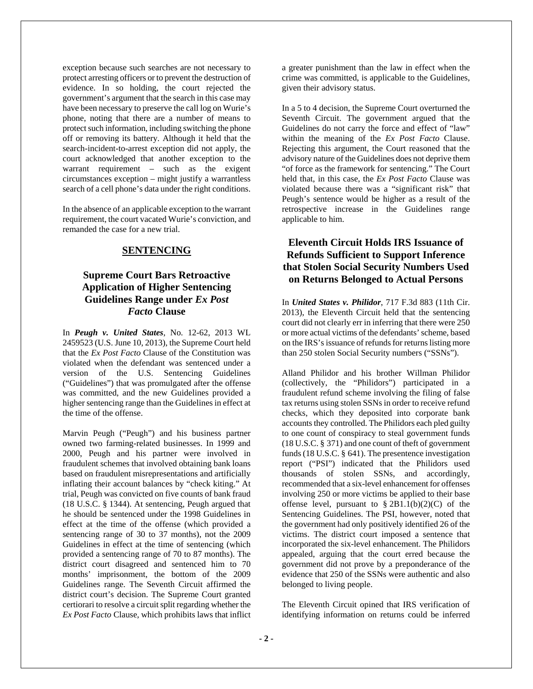exception because such searches are not necessary to protect arresting officers or to prevent the destruction of evidence. In so holding, the court rejected the government's argument that the search in this case may have been necessary to preserve the call log on Wurie's phone, noting that there are a number of means to protect such information, including switching the phone off or removing its battery. Although it held that the search-incident-to-arrest exception did not apply, the court acknowledged that another exception to the warrant requirement – such as the exigent circumstances exception – might justify a warrantless search of a cell phone's data under the right conditions.

In the absence of an applicable exception to the warrant requirement, the court vacated Wurie's conviction, and remanded the case for a new trial.

#### **SENTENCING**

#### **Supreme Court Bars Retroactive Application of Higher Sentencing Guidelines Range under** *Ex Post Facto* **Clause**

In *Peugh v. United States*, No. 12-62, 2013 WL 2459523 (U.S. June 10, 2013), the Supreme Court held that the *Ex Post Facto* Clause of the Constitution was violated when the defendant was sentenced under a version of the U.S. Sentencing Guidelines ("Guidelines") that was promulgated after the offense was committed, and the new Guidelines provided a higher sentencing range than the Guidelines in effect at the time of the offense.

Marvin Peugh ("Peugh") and his business partner owned two farming-related businesses. In 1999 and 2000, Peugh and his partner were involved in fraudulent schemes that involved obtaining bank loans based on fraudulent misrepresentations and artificially inflating their account balances by "check kiting." At trial, Peugh was convicted on five counts of bank fraud (18 U.S.C. § 1344). At sentencing, Peugh argued that he should be sentenced under the 1998 Guidelines in effect at the time of the offense (which provided a sentencing range of 30 to 37 months), not the 2009 Guidelines in effect at the time of sentencing (which provided a sentencing range of 70 to 87 months). The district court disagreed and sentenced him to 70 months' imprisonment, the bottom of the 2009 Guidelines range. The Seventh Circuit affirmed the district court's decision. The Supreme Court granted certiorari to resolve a circuit split regarding whether the *Ex Post Facto* Clause, which prohibits laws that inflict

a greater punishment than the law in effect when the crime was committed, is applicable to the Guidelines, given their advisory status.

In a 5 to 4 decision, the Supreme Court overturned the Seventh Circuit. The government argued that the Guidelines do not carry the force and effect of "law" within the meaning of the *Ex Post Facto* Clause. Rejecting this argument, the Court reasoned that the advisory nature of the Guidelines does not deprive them "of force as the framework for sentencing." The Court held that, in this case, the *Ex Post Facto* Clause was violated because there was a "significant risk" that Peugh's sentence would be higher as a result of the retrospective increase in the Guidelines range applicable to him.

#### **Eleventh Circuit Holds IRS Issuance of Refunds Sufficient to Support Inference that Stolen Social Security Numbers Used on Returns Belonged to Actual Persons**

In *United States v. Philidor*, 717 F.3d 883 (11th Cir. 2013), the Eleventh Circuit held that the sentencing court did not clearly err in inferring that there were 250 or more actual victims of the defendants' scheme, based on the IRS's issuance of refunds for returns listing more than 250 stolen Social Security numbers ("SSNs").

Alland Philidor and his brother Willman Philidor (collectively, the "Philidors") participated in a fraudulent refund scheme involving the filing of false tax returns using stolen SSNs in order to receive refund checks, which they deposited into corporate bank accounts they controlled. The Philidors each pled guilty to one count of conspiracy to steal government funds (18 U.S.C. § 371) and one count of theft of government funds (18 U.S.C. § 641). The presentence investigation report ("PSI") indicated that the Philidors used thousands of stolen SSNs, and accordingly, recommended that a six-level enhancement for offenses involving 250 or more victims be applied to their base offense level, pursuant to  $\S 2B1.1(b)(2)(C)$  of the Sentencing Guidelines. The PSI, however, noted that the government had only positively identified 26 of the victims. The district court imposed a sentence that incorporated the six-level enhancement. The Philidors appealed, arguing that the court erred because the government did not prove by a preponderance of the evidence that 250 of the SSNs were authentic and also belonged to living people.

The Eleventh Circuit opined that IRS verification of identifying information on returns could be inferred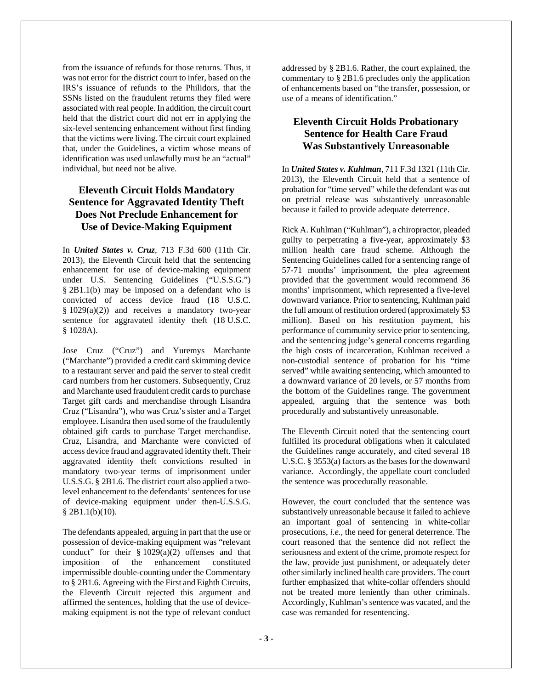from the issuance of refunds for those returns. Thus, it was not error for the district court to infer, based on the IRS's issuance of refunds to the Philidors, that the SSNs listed on the fraudulent returns they filed were associated with real people. In addition, the circuit court held that the district court did not err in applying the six-level sentencing enhancement without first finding that the victims were living. The circuit court explained that, under the Guidelines, a victim whose means of identification was used unlawfully must be an "actual" individual, but need not be alive.

### **Eleventh Circuit Holds Mandatory Sentence for Aggravated Identity Theft Does Not Preclude Enhancement for Use of Device-Making Equipment**

In *United States v. Cruz*, 713 F.3d 600 (11th Cir. 2013), the Eleventh Circuit held that the sentencing enhancement for use of device-making equipment under U.S. Sentencing Guidelines ("U.S.S.G.") § 2B1.1(b) may be imposed on a defendant who is convicted of access device fraud (18 U.S.C.  $§ 1029(a)(2))$  and receives a mandatory two-year sentence for aggravated identity theft (18 U.S.C. § 1028A).

Jose Cruz ("Cruz") and Yuremys Marchante ("Marchante") provided a credit card skimming device to a restaurant server and paid the server to steal credit card numbers from her customers. Subsequently, Cruz and Marchante used fraudulent credit cards to purchase Target gift cards and merchandise through Lisandra Cruz ("Lisandra"), who was Cruz's sister and a Target employee. Lisandra then used some of the fraudulently obtained gift cards to purchase Target merchandise. Cruz, Lisandra, and Marchante were convicted of access device fraud and aggravated identity theft. Their aggravated identity theft convictions resulted in mandatory two-year terms of imprisonment under U.S.S.G. § 2B1.6. The district court also applied a twolevel enhancement to the defendants' sentences for use of device-making equipment under then-U.S.S.G.  $§$  2B1.1(b)(10).

The defendants appealed, arguing in part that the use or possession of device-making equipment was "relevant conduct" for their § 1029(a)(2) offenses and that imposition of the enhancement constituted impermissible double-counting under the Commentary to § 2B1.6. Agreeing with the First and Eighth Circuits, the Eleventh Circuit rejected this argument and affirmed the sentences, holding that the use of devicemaking equipment is not the type of relevant conduct

addressed by § 2B1.6. Rather, the court explained, the commentary to § 2B1.6 precludes only the application of enhancements based on "the transfer, possession, or use of a means of identification."

#### **Eleventh Circuit Holds Probationary Sentence for Health Care Fraud Was Substantively Unreasonable**

In *United States v. Kuhlman*, 711 F.3d 1321 (11th Cir. 2013), the Eleventh Circuit held that a sentence of probation for "time served" while the defendant was out on pretrial release was substantively unreasonable because it failed to provide adequate deterrence.

Rick A. Kuhlman ("Kuhlman"), a chiropractor, pleaded guilty to perpetrating a five-year, approximately \$3 million health care fraud scheme. Although the Sentencing Guidelines called for a sentencing range of 57-71 months' imprisonment, the plea agreement provided that the government would recommend 36 months' imprisonment, which represented a five-level downward variance. Prior to sentencing, Kuhlman paid the full amount of restitution ordered (approximately \$3 million). Based on his restitution payment, his performance of community service prior to sentencing, and the sentencing judge's general concerns regarding the high costs of incarceration, Kuhlman received a non-custodial sentence of probation for his "time served" while awaiting sentencing, which amounted to a downward variance of 20 levels, or 57 months from the bottom of the Guidelines range. The government appealed, arguing that the sentence was both procedurally and substantively unreasonable.

The Eleventh Circuit noted that the sentencing court fulfilled its procedural obligations when it calculated the Guidelines range accurately, and cited several 18 U.S.C. § 3553(a) factors as the bases for the downward variance. Accordingly, the appellate court concluded the sentence was procedurally reasonable.

However, the court concluded that the sentence was substantively unreasonable because it failed to achieve an important goal of sentencing in white-collar prosecutions, *i.e.*, the need for general deterrence. The court reasoned that the sentence did not reflect the seriousness and extent of the crime, promote respect for the law, provide just punishment, or adequately deter other similarly inclined health care providers. The court further emphasized that white-collar offenders should not be treated more leniently than other criminals. Accordingly, Kuhlman's sentence was vacated, and the case was remanded for resentencing.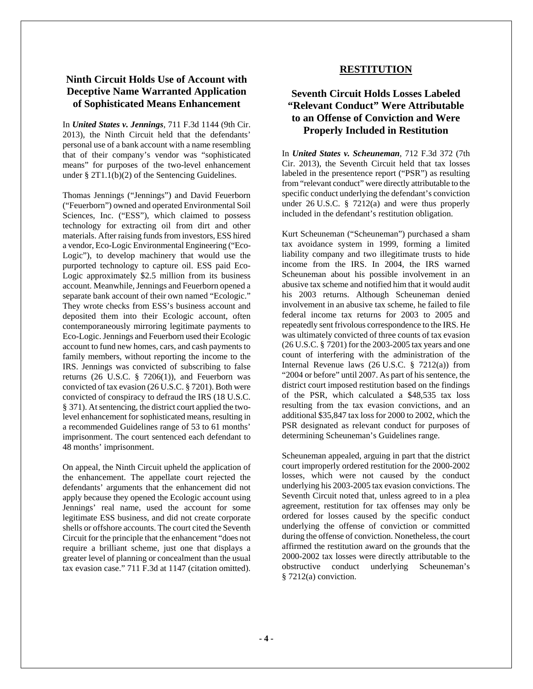#### **Ninth Circuit Holds Use of Account with Deceptive Name Warranted Application of Sophisticated Means Enhancement**

In *United States v. Jennings*, 711 F.3d 1144 (9th Cir. 2013), the Ninth Circuit held that the defendants' personal use of a bank account with a name resembling that of their company's vendor was "sophisticated means" for purposes of the two-level enhancement under § 2T1.1(b)(2) of the Sentencing Guidelines.

Thomas Jennings ("Jennings") and David Feuerborn ("Feuerborn") owned and operated Environmental Soil Sciences, Inc. ("ESS"), which claimed to possess technology for extracting oil from dirt and other materials. After raising funds from investors, ESS hired a vendor, Eco-Logic Environmental Engineering ("Eco-Logic"), to develop machinery that would use the purported technology to capture oil. ESS paid Eco-Logic approximately \$2.5 million from its business account. Meanwhile, Jennings and Feuerborn opened a separate bank account of their own named "Ecologic." They wrote checks from ESS's business account and deposited them into their Ecologic account, often contemporaneously mirroring legitimate payments to Eco-Logic. Jennings and Feuerborn used their Ecologic account to fund new homes, cars, and cash payments to family members, without reporting the income to the IRS. Jennings was convicted of subscribing to false returns (26 U.S.C.  $\S$  7206(1)), and Feuerborn was convicted of tax evasion (26 U.S.C. § 7201). Both were convicted of conspiracy to defraud the IRS (18 U.S.C. § 371). At sentencing, the district court applied the twolevel enhancement for sophisticated means, resulting in a recommended Guidelines range of 53 to 61 months' imprisonment. The court sentenced each defendant to 48 months' imprisonment.

On appeal, the Ninth Circuit upheld the application of the enhancement. The appellate court rejected the defendants' arguments that the enhancement did not apply because they opened the Ecologic account using Jennings' real name, used the account for some legitimate ESS business, and did not create corporate shells or offshore accounts. The court cited the Seventh Circuit for the principle that the enhancement "does not require a brilliant scheme, just one that displays a greater level of planning or concealment than the usual tax evasion case." 711 F.3d at 1147 (citation omitted).

#### **RESTITUTION**

#### **Seventh Circuit Holds Losses Labeled "Relevant Conduct" Were Attributable to an Offense of Conviction and Were Properly Included in Restitution**

In *United States v. Scheuneman*, 712 F.3d 372 (7th Cir. 2013), the Seventh Circuit held that tax losses labeled in the presentence report ("PSR") as resulting from "relevant conduct" were directly attributable to the specific conduct underlying the defendant's conviction under 26 U.S.C. § 7212(a) and were thus properly included in the defendant's restitution obligation.

Kurt Scheuneman ("Scheuneman") purchased a sham tax avoidance system in 1999, forming a limited liability company and two illegitimate trusts to hide income from the IRS. In 2004, the IRS warned Scheuneman about his possible involvement in an abusive tax scheme and notified him that it would audit his 2003 returns. Although Scheuneman denied involvement in an abusive tax scheme, he failed to file federal income tax returns for 2003 to 2005 and repeatedly sent frivolous correspondence to the IRS. He was ultimately convicted of three counts of tax evasion (26 U.S.C. § 7201) for the 2003-2005 tax years and one count of interfering with the administration of the Internal Revenue laws (26 U.S.C. § 7212(a)) from "2004 or before" until 2007. As part of his sentence, the district court imposed restitution based on the findings of the PSR, which calculated a \$48,535 tax loss resulting from the tax evasion convictions, and an additional \$35,847 tax loss for 2000 to 2002, which the PSR designated as relevant conduct for purposes of determining Scheuneman's Guidelines range.

Scheuneman appealed, arguing in part that the district court improperly ordered restitution for the 2000-2002 losses, which were not caused by the conduct underlying his 2003-2005 tax evasion convictions. The Seventh Circuit noted that, unless agreed to in a plea agreement, restitution for tax offenses may only be ordered for losses caused by the specific conduct underlying the offense of conviction or committed during the offense of conviction. Nonetheless, the court affirmed the restitution award on the grounds that the 2000-2002 tax losses were directly attributable to the obstructive conduct underlying Scheuneman's § 7212(a) conviction.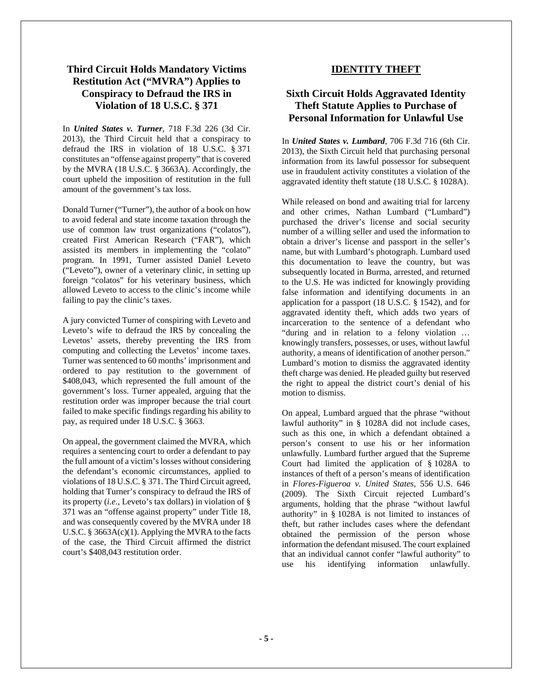#### **Third Circuit Holds Mandatory Victims Restitution Act ("MVRA") Applies to Conspiracy to Defraud the IRS in Violation of 18 U.S.C. § 371**

In *United States v. Turner*, 718 F.3d 226 (3d Cir. 2013), the Third Circuit held that a conspiracy to defraud the IRS in violation of 18 U.S.C. § 371 constitutes an "offense against property" that is covered by the MVRA (18 U.S.C. § 3663A). Accordingly, the court upheld the imposition of restitution in the full amount of the government's tax loss.

Donald Turner ("Turner"), the author of a book on how to avoid federal and state income taxation through the use of common law trust organizations ("colatos"), created First American Research ("FAR"), which assisted its members in implementing the "colato" program. In 1991, Turner assisted Daniel Leveto ("Leveto"), owner of a veterinary clinic, in setting up foreign "colatos" for his veterinary business, which allowed Leveto to access to the clinic's income while failing to pay the clinic's taxes.

A jury convicted Turner of conspiring with Leveto and Leveto's wife to defraud the IRS by concealing the Levetos' assets, thereby preventing the IRS from computing and collecting the Levetos' income taxes. Turner was sentenced to 60 months' imprisonment and ordered to pay restitution to the government of \$408,043, which represented the full amount of the government's loss. Turner appealed, arguing that the restitution order was improper because the trial court failed to make specific findings regarding his ability to pay, as required under 18 U.S.C. § 3663.

On appeal, the government claimed the MVRA, which requires a sentencing court to order a defendant to pay the full amount of a victim's losses without considering the defendant's economic circumstances, applied to violations of 18 U.S.C. § 371. The Third Circuit agreed, holding that Turner's conspiracy to defraud the IRS of its property (*i.e.*, Leveto's tax dollars) in violation of § 371 was an "offense against property" under Title 18, and was consequently covered by the MVRA under 18 U.S.C. § 3663 $\overline{A}(c)(1)$ . Applying the MVRA to the facts of the case, the Third Circuit affirmed the district court's \$408,043 restitution order.

#### **IDENTITY THEFT**

#### **Sixth Circuit Holds Aggravated Identity Theft Statute Applies to Purchase of Personal Information for Unlawful Use**

In *United States v. Lumbard*, 706 F.3d 716 (6th Cir. 2013), the Sixth Circuit held that purchasing personal information from its lawful possessor for subsequent use in fraudulent activity constitutes a violation of the aggravated identity theft statute (18 U.S.C. § 1028A).

While released on bond and awaiting trial for larceny and other crimes, Nathan Lumbard ("Lumbard") purchased the driver's license and social security number of a willing seller and used the information to obtain a driver's license and passport in the seller's name, but with Lumbard's photograph. Lumbard used this documentation to leave the country, but was subsequently located in Burma, arrested, and returned to the U.S. He was indicted for knowingly providing false information and identifying documents in an application for a passport (18 U.S.C. § 1542), and for aggravated identity theft, which adds two years of incarceration to the sentence of a defendant who "during and in relation to a felony violation … knowingly transfers, possesses, or uses, without lawful authority, a means of identification of another person." Lumbard's motion to dismiss the aggravated identity theft charge was denied. He pleaded guilty but reserved the right to appeal the district court's denial of his motion to dismiss.

On appeal, Lumbard argued that the phrase "without lawful authority" in § 1028A did not include cases, such as this one, in which a defendant obtained a person's consent to use his or her information unlawfully. Lumbard further argued that the Supreme Court had limited the application of § 1028A to instances of theft of a person's means of identification in *Flores-Figueroa v. United States,* 556 U.S. 646 (2009). The Sixth Circuit rejected Lumbard's arguments, holding that the phrase "without lawful authority" in § 1028A is not limited to instances of theft, but rather includes cases where the defendant obtained the permission of the person whose information the defendant misused. The court explained that an individual cannot confer "lawful authority" to use his identifying information unlawfully.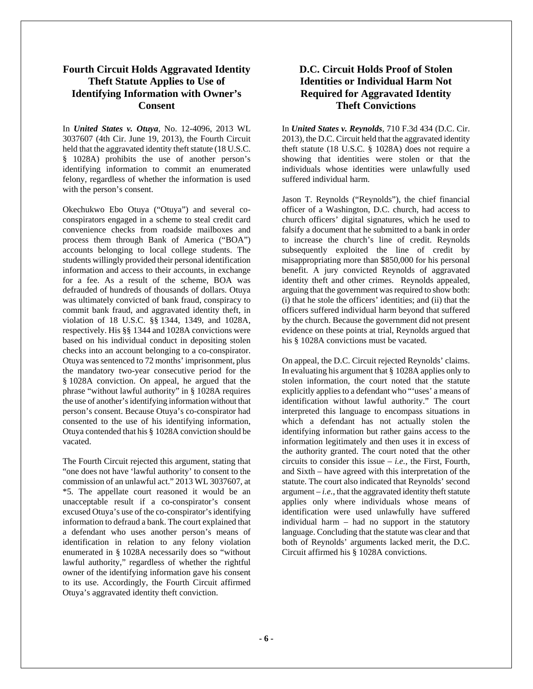#### **Fourth Circuit Holds Aggravated Identity Theft Statute Applies to Use of Identifying Information with Owner's Consent**

In *United States v. Otuya*, No. 12-4096, 2013 WL 3037607 (4th Cir. June 19, 2013), the Fourth Circuit held that the aggravated identity theft statute (18 U.S.C. § 1028A) prohibits the use of another person's identifying information to commit an enumerated felony, regardless of whether the information is used with the person's consent.

Okechukwo Ebo Otuya ("Otuya") and several coconspirators engaged in a scheme to steal credit card convenience checks from roadside mailboxes and process them through Bank of America ("BOA") accounts belonging to local college students. The students willingly provided their personal identification information and access to their accounts, in exchange for a fee. As a result of the scheme, BOA was defrauded of hundreds of thousands of dollars. Otuya was ultimately convicted of bank fraud, conspiracy to commit bank fraud, and aggravated identity theft, in violation of 18 U.S.C. §§ 1344, 1349, and 1028A, respectively. His §§ 1344 and 1028A convictions were based on his individual conduct in depositing stolen checks into an account belonging to a co-conspirator. Otuya was sentenced to 72 months' imprisonment, plus the mandatory two-year consecutive period for the § 1028A conviction. On appeal, he argued that the phrase "without lawful authority" in § 1028A requires the use of another's identifying information without that person's consent. Because Otuya's co-conspirator had consented to the use of his identifying information, Otuya contended that his § 1028A conviction should be vacated.

The Fourth Circuit rejected this argument, stating that "one does not have 'lawful authority' to consent to the commission of an unlawful act." 2013 WL 3037607, at \*5. The appellate court reasoned it would be an unacceptable result if a co-conspirator's consent excused Otuya's use of the co-conspirator's identifying information to defraud a bank. The court explained that a defendant who uses another person's means of identification in relation to any felony violation enumerated in § 1028A necessarily does so "without lawful authority," regardless of whether the rightful owner of the identifying information gave his consent to its use. Accordingly, the Fourth Circuit affirmed Otuya's aggravated identity theft conviction.

### **D.C. Circuit Holds Proof of Stolen Identities or Individual Harm Not Required for Aggravated Identity Theft Convictions**

In *United States v. Reynolds*, 710 F.3d 434 (D.C. Cir. 2013), the D.C. Circuit held that the aggravated identity theft statute (18 U.S.C. § 1028A) does not require a showing that identities were stolen or that the individuals whose identities were unlawfully used suffered individual harm.

Jason T. Reynolds ("Reynolds"), the chief financial officer of a Washington, D.C. church, had access to church officers' digital signatures, which he used to falsify a document that he submitted to a bank in order to increase the church's line of credit. Reynolds subsequently exploited the line of credit by misappropriating more than \$850,000 for his personal benefit. A jury convicted Reynolds of aggravated identity theft and other crimes. Reynolds appealed, arguing that the government was required to show both: (i) that he stole the officers' identities; and (ii) that the officers suffered individual harm beyond that suffered by the church. Because the government did not present evidence on these points at trial, Reynolds argued that his § 1028A convictions must be vacated.

On appeal, the D.C. Circuit rejected Reynolds' claims. In evaluating his argument that § 1028A applies only to stolen information, the court noted that the statute explicitly applies to a defendant who "'uses' a means of identification without lawful authority." The court interpreted this language to encompass situations in which a defendant has not actually stolen the identifying information but rather gains access to the information legitimately and then uses it in excess of the authority granted. The court noted that the other circuits to consider this issue – *i.e.*, the First, Fourth, and Sixth – have agreed with this interpretation of the statute. The court also indicated that Reynolds' second argument  $-i.e.,$  that the aggravated identity theft statute applies only where individuals whose means of identification were used unlawfully have suffered individual harm – had no support in the statutory language. Concluding that the statute was clear and that both of Reynolds' arguments lacked merit, the D.C. Circuit affirmed his § 1028A convictions.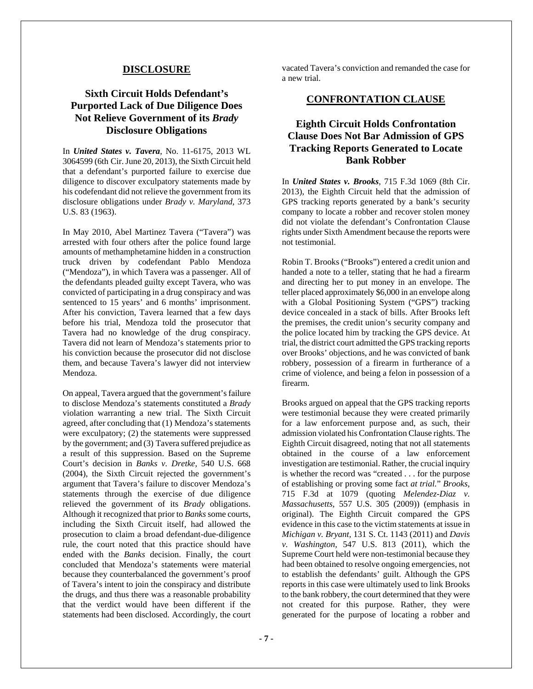#### **DISCLOSURE**

### **Sixth Circuit Holds Defendant's Purported Lack of Due Diligence Does Not Relieve Government of its** *Brady* **Disclosure Obligations**

In *United States v. Tavera*, No. 11-6175, 2013 WL 3064599 (6th Cir. June 20, 2013), the Sixth Circuit held that a defendant's purported failure to exercise due diligence to discover exculpatory statements made by his codefendant did not relieve the government from its disclosure obligations under *Brady v. Maryland,* 373 U.S. 83 (1963).

In May 2010, Abel Martinez Tavera ("Tavera") was arrested with four others after the police found large amounts of methamphetamine hidden in a construction truck driven by codefendant Pablo Mendoza ("Mendoza"), in which Tavera was a passenger. All of the defendants pleaded guilty except Tavera, who was convicted of participating in a drug conspiracy and was sentenced to 15 years' and 6 months' imprisonment. After his conviction, Tavera learned that a few days before his trial, Mendoza told the prosecutor that Tavera had no knowledge of the drug conspiracy. Tavera did not learn of Mendoza's statements prior to his conviction because the prosecutor did not disclose them, and because Tavera's lawyer did not interview Mendoza.

On appeal, Tavera argued that the government's failure to disclose Mendoza's statements constituted a *Brady*  violation warranting a new trial. The Sixth Circuit agreed, after concluding that (1) Mendoza's statements were exculpatory; (2) the statements were suppressed by the government; and (3) Tavera suffered prejudice as a result of this suppression. Based on the Supreme Court's decision in *Banks v. Dretke,* 540 U.S. 668 (2004), the Sixth Circuit rejected the government's argument that Tavera's failure to discover Mendoza's statements through the exercise of due diligence relieved the government of its *Brady* obligations. Although it recognized that prior to *Banks* some courts, including the Sixth Circuit itself, had allowed the prosecution to claim a broad defendant-due-diligence rule, the court noted that this practice should have ended with the *Banks* decision. Finally, the court concluded that Mendoza's statements were material because they counterbalanced the government's proof of Tavera's intent to join the conspiracy and distribute the drugs, and thus there was a reasonable probability that the verdict would have been different if the statements had been disclosed. Accordingly, the court

vacated Tavera's conviction and remanded the case for a new trial.

#### **CONFRONTATION CLAUSE**

#### **Eighth Circuit Holds Confrontation Clause Does Not Bar Admission of GPS Tracking Reports Generated to Locate Bank Robber**

In *United States v. Brooks*, 715 F.3d 1069 (8th Cir. 2013), the Eighth Circuit held that the admission of GPS tracking reports generated by a bank's security company to locate a robber and recover stolen money did not violate the defendant's Confrontation Clause rights under Sixth Amendment because the reports were not testimonial.

Robin T. Brooks ("Brooks") entered a credit union and handed a note to a teller, stating that he had a firearm and directing her to put money in an envelope. The teller placed approximately \$6,000 in an envelope along with a Global Positioning System ("GPS") tracking device concealed in a stack of bills. After Brooks left the premises, the credit union's security company and the police located him by tracking the GPS device. At trial, the district court admitted the GPS tracking reports over Brooks' objections, and he was convicted of bank robbery, possession of a firearm in furtherance of a crime of violence, and being a felon in possession of a firearm.

Brooks argued on appeal that the GPS tracking reports were testimonial because they were created primarily for a law enforcement purpose and, as such, their admission violated his Confrontation Clause rights. The Eighth Circuit disagreed, noting that not all statements obtained in the course of a law enforcement investigation are testimonial. Rather, the crucial inquiry is whether the record was "created . . . for the purpose of establishing or proving some fact *at trial.*" *Brooks,*  715 F.3d at 1079 (quoting *Melendez-Diaz v. Massachusetts,* 557 U.S. 305 (2009)) (emphasis in original). The Eighth Circuit compared the GPS evidence in this case to the victim statements at issue in *Michigan v. Bryant,* 131 S. Ct. 1143 (2011) and *Davis v. Washington,* 547 U.S. 813 (2011), which the Supreme Court held were non-testimonial because they had been obtained to resolve ongoing emergencies, not to establish the defendants' guilt. Although the GPS reports in this case were ultimately used to link Brooks to the bank robbery, the court determined that they were not created for this purpose. Rather, they were generated for the purpose of locating a robber and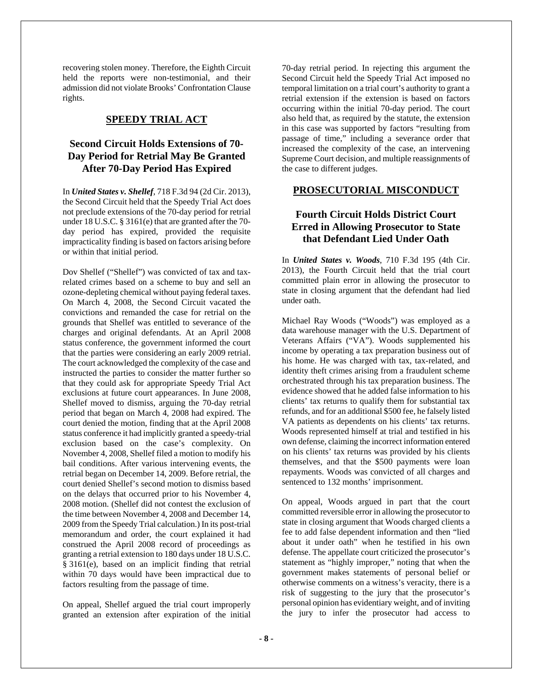recovering stolen money. Therefore, the Eighth Circuit held the reports were non-testimonial, and their admission did not violate Brooks' Confrontation Clause rights.

#### **SPEEDY TRIAL ACT**

#### **Second Circuit Holds Extensions of 70- Day Period for Retrial May Be Granted After 70-Day Period Has Expired**

In *United States v. Shellef*, 718 F.3d 94 (2d Cir. 2013), the Second Circuit held that the Speedy Trial Act does not preclude extensions of the 70-day period for retrial under 18 U.S.C. § 3161(e) that are granted after the 70 day period has expired, provided the requisite impracticality finding is based on factors arising before or within that initial period.

Dov Shellef ("Shellef") was convicted of tax and taxrelated crimes based on a scheme to buy and sell an ozone-depleting chemical without paying federal taxes. On March 4, 2008, the Second Circuit vacated the convictions and remanded the case for retrial on the grounds that Shellef was entitled to severance of the charges and original defendants. At an April 2008 status conference, the government informed the court that the parties were considering an early 2009 retrial. The court acknowledged the complexity of the case and instructed the parties to consider the matter further so that they could ask for appropriate Speedy Trial Act exclusions at future court appearances. In June 2008, Shellef moved to dismiss, arguing the 70-day retrial period that began on March 4, 2008 had expired. The court denied the motion, finding that at the April 2008 status conference it had implicitly granted a speedy-trial exclusion based on the case's complexity. On November 4, 2008, Shellef filed a motion to modify his bail conditions. After various intervening events, the retrial began on December 14, 2009. Before retrial, the court denied Shellef's second motion to dismiss based on the delays that occurred prior to his November 4, 2008 motion. (Shellef did not contest the exclusion of the time between November 4, 2008 and December 14, 2009 from the Speedy Trial calculation.) In its post-trial memorandum and order, the court explained it had construed the April 2008 record of proceedings as granting a retrial extension to 180 days under 18 U.S.C. § 3161(e), based on an implicit finding that retrial within 70 days would have been impractical due to factors resulting from the passage of time.

On appeal, Shellef argued the trial court improperly granted an extension after expiration of the initial

70-day retrial period. In rejecting this argument the Second Circuit held the Speedy Trial Act imposed no temporal limitation on a trial court's authority to grant a retrial extension if the extension is based on factors occurring within the initial 70-day period. The court also held that, as required by the statute, the extension in this case was supported by factors "resulting from passage of time," including a severance order that increased the complexity of the case, an intervening Supreme Court decision, and multiple reassignments of the case to different judges.

#### **PROSECUTORIAL MISCONDUCT**

### **Fourth Circuit Holds District Court Erred in Allowing Prosecutor to State that Defendant Lied Under Oath**

In *United States v. Woods*, 710 F.3d 195 (4th Cir. 2013), the Fourth Circuit held that the trial court committed plain error in allowing the prosecutor to state in closing argument that the defendant had lied under oath.

Michael Ray Woods ("Woods") was employed as a data warehouse manager with the U.S. Department of Veterans Affairs ("VA"). Woods supplemented his income by operating a tax preparation business out of his home. He was charged with tax, tax-related, and identity theft crimes arising from a fraudulent scheme orchestrated through his tax preparation business. The evidence showed that he added false information to his clients' tax returns to qualify them for substantial tax refunds, and for an additional \$500 fee, he falsely listed VA patients as dependents on his clients' tax returns. Woods represented himself at trial and testified in his own defense, claiming the incorrect information entered on his clients' tax returns was provided by his clients themselves, and that the \$500 payments were loan repayments. Woods was convicted of all charges and sentenced to 132 months' imprisonment.

On appeal, Woods argued in part that the court committed reversible error in allowing the prosecutor to state in closing argument that Woods charged clients a fee to add false dependent information and then "lied about it under oath" when he testified in his own defense. The appellate court criticized the prosecutor's statement as "highly improper," noting that when the government makes statements of personal belief or otherwise comments on a witness's veracity, there is a risk of suggesting to the jury that the prosecutor's personal opinion has evidentiary weight, and of inviting the jury to infer the prosecutor had access to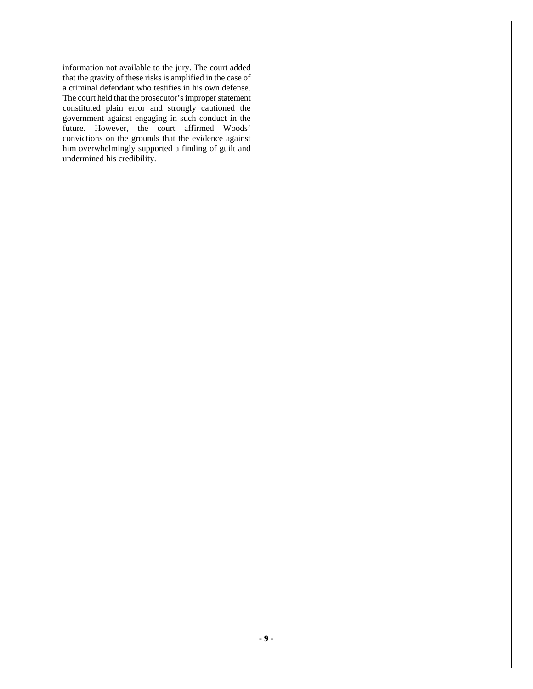information not available to the jury. The court added that the gravity of these risks is amplified in the case of a criminal defendant who testifies in his own defense. The court held that the prosecutor's improper statement constituted plain error and strongly cautioned the government against engaging in such conduct in the future. However, the court affirmed Woods' convictions on the grounds that the evidence against him overwhelmingly supported a finding of guilt and undermined his credibility.